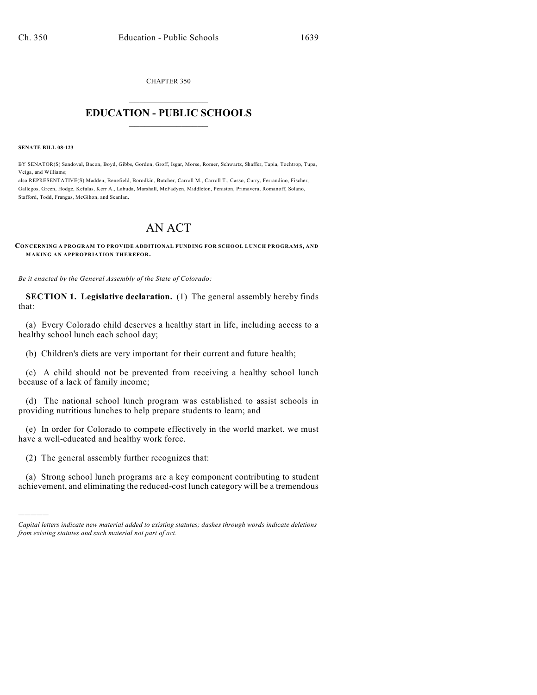CHAPTER 350  $\mathcal{L}_\text{max}$  . The set of the set of the set of the set of the set of the set of the set of the set of the set of the set of the set of the set of the set of the set of the set of the set of the set of the set of the set

## **EDUCATION - PUBLIC SCHOOLS**  $\_$   $\_$   $\_$   $\_$   $\_$   $\_$   $\_$   $\_$   $\_$

**SENATE BILL 08-123**

)))))

BY SENATOR(S) Sandoval, Bacon, Boyd, Gibbs, Gordon, Groff, Isgar, Morse, Romer, Schwartz, Shaffer, Tapia, Tochtrop, Tupa, Veiga, and Williams;

also REPRESENTATIVE(S) Madden, Benefield, Borodkin, Butcher, Carroll M., Carroll T., Casso, Curry, Ferrandino, Fischer, Gallegos, Green, Hodge, Kefalas, Kerr A., Labuda, Marshall, McFadyen, Middleton, Peniston, Primavera, Romanoff, Solano, Stafford, Todd, Frangas, McGihon, and Scanlan.

## AN ACT

**CONCERNING A PROGRAM TO PROVIDE ADDITIONAL FUNDING FOR SCHOOL LUNCH PROGRAM S, AND MAKING AN APPROPRIATION THEREFOR.**

*Be it enacted by the General Assembly of the State of Colorado:*

**SECTION 1. Legislative declaration.** (1) The general assembly hereby finds that:

(a) Every Colorado child deserves a healthy start in life, including access to a healthy school lunch each school day;

(b) Children's diets are very important for their current and future health;

(c) A child should not be prevented from receiving a healthy school lunch because of a lack of family income;

(d) The national school lunch program was established to assist schools in providing nutritious lunches to help prepare students to learn; and

(e) In order for Colorado to compete effectively in the world market, we must have a well-educated and healthy work force.

(2) The general assembly further recognizes that:

(a) Strong school lunch programs are a key component contributing to student achievement, and eliminating the reduced-cost lunch category will be a tremendous

*Capital letters indicate new material added to existing statutes; dashes through words indicate deletions from existing statutes and such material not part of act.*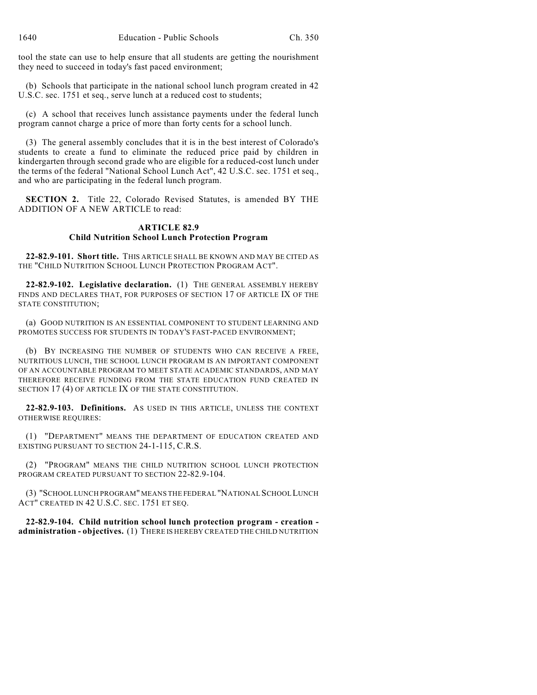tool the state can use to help ensure that all students are getting the nourishment they need to succeed in today's fast paced environment;

(b) Schools that participate in the national school lunch program created in 42 U.S.C. sec. 1751 et seq., serve lunch at a reduced cost to students;

(c) A school that receives lunch assistance payments under the federal lunch program cannot charge a price of more than forty cents for a school lunch.

(3) The general assembly concludes that it is in the best interest of Colorado's students to create a fund to eliminate the reduced price paid by children in kindergarten through second grade who are eligible for a reduced-cost lunch under the terms of the federal "National School Lunch Act", 42 U.S.C. sec. 1751 et seq., and who are participating in the federal lunch program.

**SECTION 2.** Title 22, Colorado Revised Statutes, is amended BY THE ADDITION OF A NEW ARTICLE to read:

## **ARTICLE 82.9 Child Nutrition School Lunch Protection Program**

**22-82.9-101. Short title.** THIS ARTICLE SHALL BE KNOWN AND MAY BE CITED AS THE "CHILD NUTRITION SCHOOL LUNCH PROTECTION PROGRAM ACT".

**22-82.9-102. Legislative declaration.** (1) THE GENERAL ASSEMBLY HEREBY FINDS AND DECLARES THAT, FOR PURPOSES OF SECTION 17 OF ARTICLE IX OF THE STATE CONSTITUTION;

(a) GOOD NUTRITION IS AN ESSENTIAL COMPONENT TO STUDENT LEARNING AND PROMOTES SUCCESS FOR STUDENTS IN TODAY'S FAST-PACED ENVIRONMENT;

(b) BY INCREASING THE NUMBER OF STUDENTS WHO CAN RECEIVE A FREE, NUTRITIOUS LUNCH, THE SCHOOL LUNCH PROGRAM IS AN IMPORTANT COMPONENT OF AN ACCOUNTABLE PROGRAM TO MEET STATE ACADEMIC STANDARDS, AND MAY THEREFORE RECEIVE FUNDING FROM THE STATE EDUCATION FUND CREATED IN SECTION 17 (4) OF ARTICLE IX OF THE STATE CONSTITUTION.

**22-82.9-103. Definitions.** AS USED IN THIS ARTICLE, UNLESS THE CONTEXT OTHERWISE REQUIRES:

(1) "DEPARTMENT" MEANS THE DEPARTMENT OF EDUCATION CREATED AND EXISTING PURSUANT TO SECTION 24-1-115, C.R.S.

(2) "PROGRAM" MEANS THE CHILD NUTRITION SCHOOL LUNCH PROTECTION PROGRAM CREATED PURSUANT TO SECTION 22-82.9-104.

(3) "SCHOOL LUNCH PROGRAM" MEANS THE FEDERAL "NATIONAL SCHOOL LUNCH ACT" CREATED IN 42 U.S.C. SEC. 1751 ET SEQ.

**22-82.9-104. Child nutrition school lunch protection program - creation administration - objectives.** (1) THERE IS HEREBY CREATED THE CHILD NUTRITION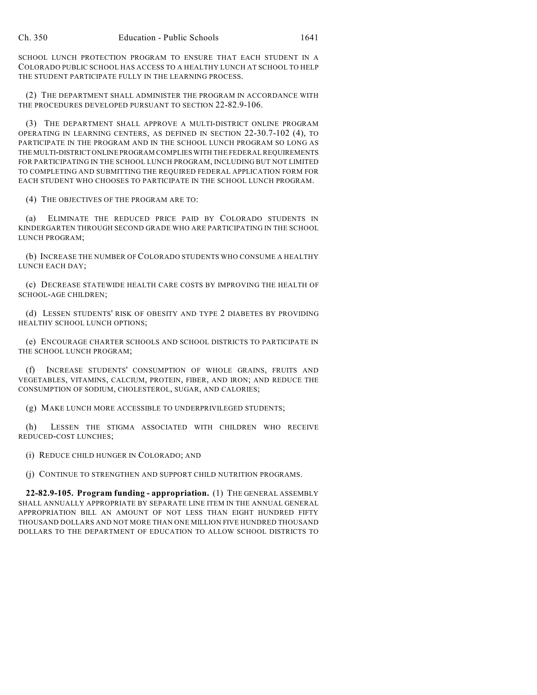SCHOOL LUNCH PROTECTION PROGRAM TO ENSURE THAT EACH STUDENT IN A COLORADO PUBLIC SCHOOL HAS ACCESS TO A HEALTHY LUNCH AT SCHOOL TO HELP THE STUDENT PARTICIPATE FULLY IN THE LEARNING PROCESS.

(2) THE DEPARTMENT SHALL ADMINISTER THE PROGRAM IN ACCORDANCE WITH THE PROCEDURES DEVELOPED PURSUANT TO SECTION 22-82.9-106.

(3) THE DEPARTMENT SHALL APPROVE A MULTI-DISTRICT ONLINE PROGRAM OPERATING IN LEARNING CENTERS, AS DEFINED IN SECTION 22-30.7-102 (4), TO PARTICIPATE IN THE PROGRAM AND IN THE SCHOOL LUNCH PROGRAM SO LONG AS THE MULTI-DISTRICT ONLINE PROGRAM COMPLIES WITH THE FEDERAL REQUIREMENTS FOR PARTICIPATING IN THE SCHOOL LUNCH PROGRAM, INCLUDING BUT NOT LIMITED TO COMPLETING AND SUBMITTING THE REQUIRED FEDERAL APPLICATION FORM FOR EACH STUDENT WHO CHOOSES TO PARTICIPATE IN THE SCHOOL LUNCH PROGRAM.

(4) THE OBJECTIVES OF THE PROGRAM ARE TO:

(a) ELIMINATE THE REDUCED PRICE PAID BY COLORADO STUDENTS IN KINDERGARTEN THROUGH SECOND GRADE WHO ARE PARTICIPATING IN THE SCHOOL LUNCH PROGRAM;

(b) INCREASE THE NUMBER OF COLORADO STUDENTS WHO CONSUME A HEALTHY LUNCH EACH DAY;

(c) DECREASE STATEWIDE HEALTH CARE COSTS BY IMPROVING THE HEALTH OF SCHOOL-AGE CHILDREN;

(d) LESSEN STUDENTS' RISK OF OBESITY AND TYPE 2 DIABETES BY PROVIDING HEALTHY SCHOOL LUNCH OPTIONS;

(e) ENCOURAGE CHARTER SCHOOLS AND SCHOOL DISTRICTS TO PARTICIPATE IN THE SCHOOL LUNCH PROGRAM;

(f) INCREASE STUDENTS' CONSUMPTION OF WHOLE GRAINS, FRUITS AND VEGETABLES, VITAMINS, CALCIUM, PROTEIN, FIBER, AND IRON; AND REDUCE THE CONSUMPTION OF SODIUM, CHOLESTEROL, SUGAR, AND CALORIES;

(g) MAKE LUNCH MORE ACCESSIBLE TO UNDERPRIVILEGED STUDENTS;

(h) LESSEN THE STIGMA ASSOCIATED WITH CHILDREN WHO RECEIVE REDUCED-COST LUNCHES;

(i) REDUCE CHILD HUNGER IN COLORADO; AND

(j) CONTINUE TO STRENGTHEN AND SUPPORT CHILD NUTRITION PROGRAMS.

**22-82.9-105. Program funding - appropriation.** (1) THE GENERAL ASSEMBLY SHALL ANNUALLY APPROPRIATE BY SEPARATE LINE ITEM IN THE ANNUAL GENERAL APPROPRIATION BILL AN AMOUNT OF NOT LESS THAN EIGHT HUNDRED FIFTY THOUSAND DOLLARS AND NOT MORE THAN ONE MILLION FIVE HUNDRED THOUSAND DOLLARS TO THE DEPARTMENT OF EDUCATION TO ALLOW SCHOOL DISTRICTS TO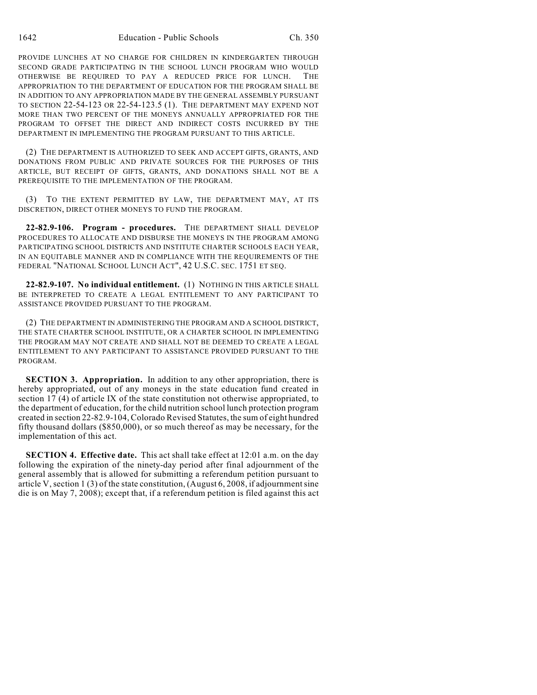PROVIDE LUNCHES AT NO CHARGE FOR CHILDREN IN KINDERGARTEN THROUGH SECOND GRADE PARTICIPATING IN THE SCHOOL LUNCH PROGRAM WHO WOULD OTHERWISE BE REQUIRED TO PAY A REDUCED PRICE FOR LUNCH. THE APPROPRIATION TO THE DEPARTMENT OF EDUCATION FOR THE PROGRAM SHALL BE IN ADDITION TO ANY APPROPRIATION MADE BY THE GENERAL ASSEMBLY PURSUANT TO SECTION 22-54-123 OR 22-54-123.5 (1). THE DEPARTMENT MAY EXPEND NOT MORE THAN TWO PERCENT OF THE MONEYS ANNUALLY APPROPRIATED FOR THE PROGRAM TO OFFSET THE DIRECT AND INDIRECT COSTS INCURRED BY THE DEPARTMENT IN IMPLEMENTING THE PROGRAM PURSUANT TO THIS ARTICLE.

(2) THE DEPARTMENT IS AUTHORIZED TO SEEK AND ACCEPT GIFTS, GRANTS, AND DONATIONS FROM PUBLIC AND PRIVATE SOURCES FOR THE PURPOSES OF THIS ARTICLE, BUT RECEIPT OF GIFTS, GRANTS, AND DONATIONS SHALL NOT BE A PREREQUISITE TO THE IMPLEMENTATION OF THE PROGRAM.

(3) TO THE EXTENT PERMITTED BY LAW, THE DEPARTMENT MAY, AT ITS DISCRETION, DIRECT OTHER MONEYS TO FUND THE PROGRAM.

**22-82.9-106. Program - procedures.** THE DEPARTMENT SHALL DEVELOP PROCEDURES TO ALLOCATE AND DISBURSE THE MONEYS IN THE PROGRAM AMONG PARTICIPATING SCHOOL DISTRICTS AND INSTITUTE CHARTER SCHOOLS EACH YEAR, IN AN EQUITABLE MANNER AND IN COMPLIANCE WITH THE REQUIREMENTS OF THE FEDERAL "NATIONAL SCHOOL LUNCH ACT", 42 U.S.C. SEC. 1751 ET SEQ.

**22-82.9-107. No individual entitlement.** (1) NOTHING IN THIS ARTICLE SHALL BE INTERPRETED TO CREATE A LEGAL ENTITLEMENT TO ANY PARTICIPANT TO ASSISTANCE PROVIDED PURSUANT TO THE PROGRAM.

(2) THE DEPARTMENT IN ADMINISTERING THE PROGRAM AND A SCHOOL DISTRICT, THE STATE CHARTER SCHOOL INSTITUTE, OR A CHARTER SCHOOL IN IMPLEMENTING THE PROGRAM MAY NOT CREATE AND SHALL NOT BE DEEMED TO CREATE A LEGAL ENTITLEMENT TO ANY PARTICIPANT TO ASSISTANCE PROVIDED PURSUANT TO THE PROGRAM.

**SECTION 3. Appropriation.** In addition to any other appropriation, there is hereby appropriated, out of any moneys in the state education fund created in section 17 (4) of article IX of the state constitution not otherwise appropriated, to the department of education, for the child nutrition school lunch protection program created in section 22-82.9-104, Colorado Revised Statutes, the sum of eight hundred fifty thousand dollars (\$850,000), or so much thereof as may be necessary, for the implementation of this act.

**SECTION 4. Effective date.** This act shall take effect at 12:01 a.m. on the day following the expiration of the ninety-day period after final adjournment of the general assembly that is allowed for submitting a referendum petition pursuant to article V, section 1 (3) of the state constitution, (August 6, 2008, if adjournment sine die is on May 7, 2008); except that, if a referendum petition is filed against this act